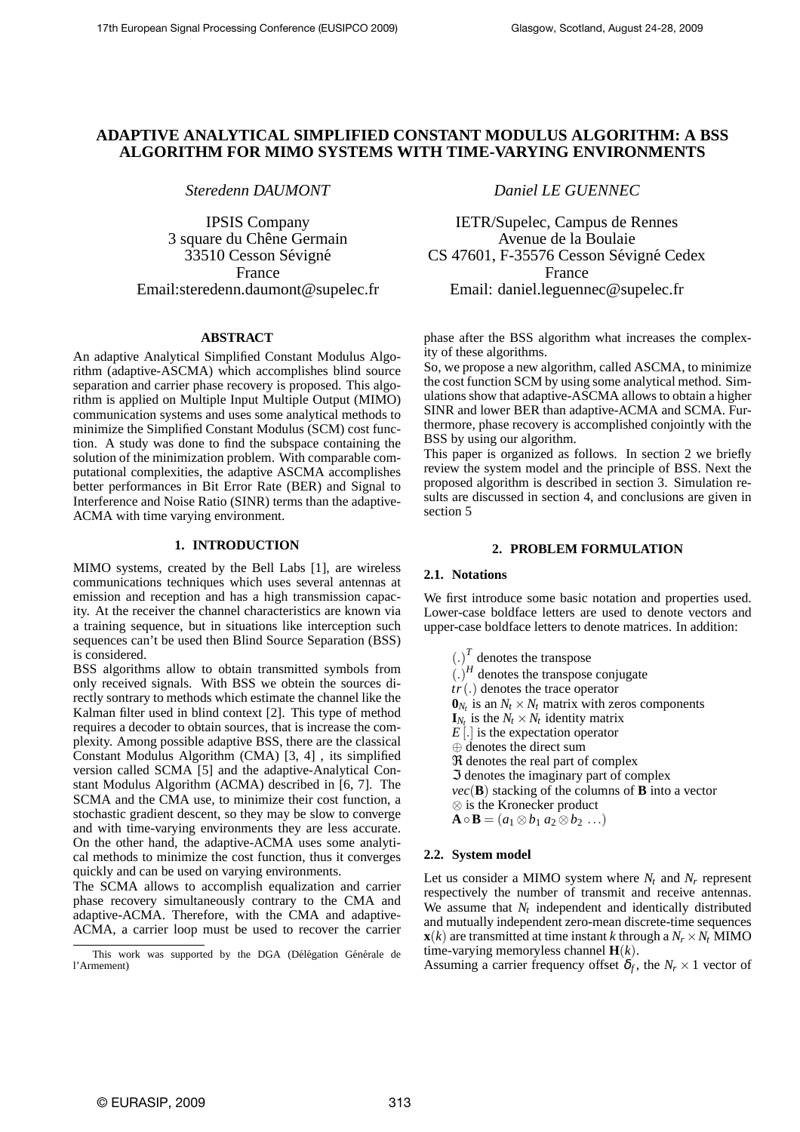# **ADAPTIVE ANALYTICAL SIMPLIFIED CONSTANT MODULUS ALGORITHM: A BSS ALGORITHM FOR MIMO SYSTEMS WITH TIME-VARYING ENVIRONMENTS**

*Steredenn DAUMONT Daniel LE GUENNEC*

IPSIS Company 3 square du Chêne Germain 33510 Cesson Sévigné France Email:steredenn.daumont@supelec.fr

## **ABSTRACT**

An adaptive Analytical Simplified Constant Modulus Algorithm (adaptive-ASCMA) which accomplishes blind source separation and carrier phase recovery is proposed. This algorithm is applied on Multiple Input Multiple Output (MIMO) communication systems and uses some analytical methods to minimize the Simplified Constant Modulus (SCM) cost function. A study was done to find the subspace containing the solution of the minimization problem. With comparable computational complexities, the adaptive ASCMA accomplishes better performances in Bit Error Rate (BER) and Signal to Interference and Noise Ratio (SINR) terms than the adaptive-ACMA with time varying environment.

## **1. INTRODUCTION**

MIMO systems, created by the Bell Labs [1], are wireless communications techniques which uses several antennas at emission and reception and has a high transmission capacity. At the receiver the channel characteristics are known via a training sequence, but in situations like interception such sequences can't be used then Blind Source Separation (BSS) is considered.

BSS algorithms allow to obtain transmitted symbols from only received signals. With BSS we obtein the sources directly sontrary to methods which estimate the channel like the Kalman filter used in blind context [2]. This type of method requires a decoder to obtain sources, that is increase the complexity. Among possible adaptive BSS, there are the classical Constant Modulus Algorithm (CMA) [3, 4] , its simplified version called SCMA [5] and the adaptive-Analytical Constant Modulus Algorithm (ACMA) described in [6, 7]. The SCMA and the CMA use, to minimize their cost function, a stochastic gradient descent, so they may be slow to converge and with time-varying environments they are less accurate. On the other hand, the adaptive-ACMA uses some analytical methods to minimize the cost function, thus it converges quickly and can be used on varying environments.

The SCMA allows to accomplish equalization and carrier phase recovery simultaneously contrary to the CMA and adaptive-ACMA. Therefore, with the CMA and adaptive-ACMA, a carrier loop must be used to recover the carrier

IETR/Supelec, Campus de Rennes Avenue de la Boulaie CS 47601, F-35576 Cesson Sévigné Cedex France Email: daniel.leguennec@supelec.fr

phase after the BSS algorithm what increases the complexity of these algorithms.

So, we propose a new algorithm, called ASCMA, to minimize the cost function SCM by using some analytical method. Simulations show that adaptive-ASCMA allows to obtain a higher SINR and lower BER than adaptive-ACMA and SCMA. Furthermore, phase recovery is accomplished conjointly with the BSS by using our algorithm.

This paper is organized as follows. In section 2 we briefly review the system model and the principle of BSS. Next the proposed algorithm is described in section 3. Simulation results are discussed in section 4, and conclusions are given in section 5

# **2. PROBLEM FORMULATION**

## **2.1. Notations**

We first introduce some basic notation and properties used. Lower-case boldface letters are used to denote vectors and upper-case boldface letters to denote matrices. In addition:

| $(.)^T$ denotes the transpose                                            |
|--------------------------------------------------------------------------|
| $(.)^H$ denotes the transpose conjugate                                  |
| $tr(.)$ denotes the trace operator                                       |
| $\mathbf{0}_{N_t}$ is an $N_t \times N_t$ matrix with zeros components   |
| $I_{N_t}$ is the $N_t \times N_t$ identity matrix                        |
| $E$ [.] is the expectation operator                                      |
| $\oplus$ denotes the direct sum                                          |
| <b>R</b> denotes the real part of complex                                |
| S denotes the imaginary part of complex                                  |
| $vec(\mathbf{B})$ stacking of the columns of <b>B</b> into a vector      |
| $\otimes$ is the Kronecker product                                       |
| $\mathbf{A} \circ \mathbf{B} = (a_1 \otimes b_1 a_2 \otimes b_2 \ldots)$ |

## **2.2. System model**

Let us consider a MIMO system where  $N_t$  and  $N_r$  represent respectively the number of transmit and receive antennas. We assume that  $N_t$  independent and identically distributed and mutually independent zero-mean discrete-time sequences **x**(*k*) are transmitted at time instant *k* through a  $N_r \times N_t$  MIMO time-varying memoryless channel **H**(*k*).

Assuming a carrier frequency offset  $\delta_f$ , the  $N_r \times 1$  vector of

This work was supported by the DGA (Délégation Générale de l'Armement)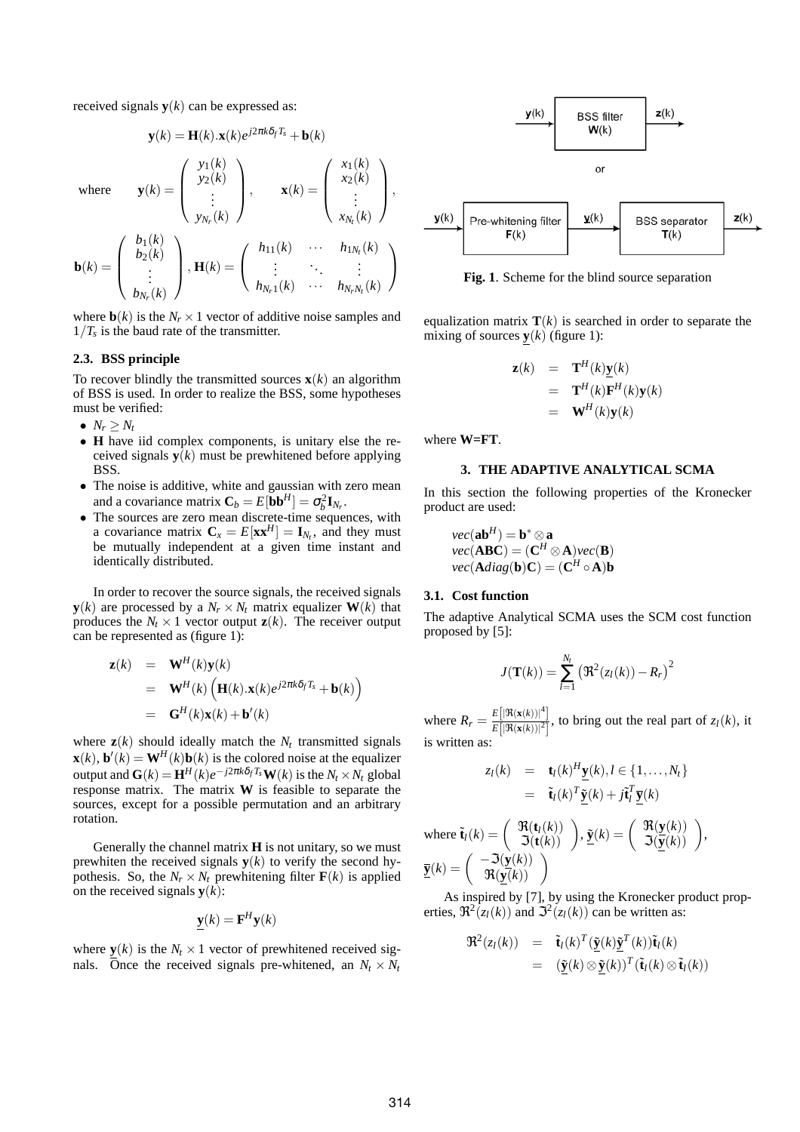received signals  $y(k)$  can be expressed as:

 $\sqrt{ }$ 

*y*1(*k*) *y*2(*k*)

$$
\mathbf{y}(k) = \mathbf{H}(k)\cdot\mathbf{x}(k)e^{j2\pi k\delta_f T_s} + \mathbf{b}(k)
$$

 $\setminus$ 

 $\sqrt{ }$ 

*x*1(*k*) *x*2(*k*)

 $\setminus$ 

where 
$$
\mathbf{y}(k) = \begin{pmatrix} y(k) \\ \vdots \\ y_{N_r}(k) \end{pmatrix}
$$
,  $\mathbf{x}(k) = \begin{pmatrix} y(k) \\ \vdots \\ y_{N_r}(k) \end{pmatrix}$ ,  

$$
\begin{pmatrix} b_1(k) \\ b_2(k) \end{pmatrix} = y(k) \begin{pmatrix} h_{11}(k) & \cdots & h_{1N_r}(k) \end{pmatrix}
$$

$$
\mathbf{b}(k) = \left(\begin{array}{c} b_2(k) \\ \vdots \\ b_{N_r}(k) \end{array}\right), \mathbf{H}(k) = \left(\begin{array}{ccc} h_{11}(k) & \cdots & h_{1N_r}(k) \\ \vdots & \ddots & \vdots \\ h_{N_r1}(k) & \cdots & h_{N_rN_r}(k) \end{array}\right)
$$

where  $\mathbf{b}(k)$  is the  $N_r \times 1$  vector of additive noise samples and  $1/T_s$  is the baud rate of the transmitter.

# **2.3. BSS principle**

To recover blindly the transmitted sources  $\mathbf{x}(k)$  an algorithm of BSS is used. In order to realize the BSS, some hypotheses must be verified:

- $\bullet$   $N_r \geq N_t$
- **H** have iid complex components, is unitary else the received signals  $y(k)$  must be prewhitened before applying BSS.
- The noise is additive, white and gaussian with zero mean and a covariance matrix  $\mathbf{C}_b = E[\mathbf{b} \mathbf{b}^H] = \sigma_b^2 \mathbf{I}_{N_r}$ .
- The sources are zero mean discrete-time sequences, with a covariance matrix  $\mathbf{C}_x = E[\mathbf{x} \mathbf{x}^H] = \mathbf{I}_{N_t}$ , and they must be mutually independent at a given time instant and identically distributed.

In order to recover the source signals, the received signals **y**(*k*) are processed by a  $N_r \times N_t$  matrix equalizer **W**(*k*) that produces the  $N_t \times 1$  vector output  $z(k)$ . The receiver output can be represented as (figure 1):

$$
\mathbf{z}(k) = \mathbf{W}^{H}(k)\mathbf{y}(k)
$$
  
=  $\mathbf{W}^{H}(k) (\mathbf{H}(k).\mathbf{x}(k)e^{j2\pi k\delta_{f}T_{s}} + \mathbf{b}(k))$   
=  $\mathbf{G}^{H}(k)\mathbf{x}(k) + \mathbf{b}'(k)$ 

where  $z(k)$  should ideally match the  $N_t$  transmitted signals  $\mathbf{x}(k)$ ,  $\mathbf{b}'(k) = \mathbf{W}^H(k)\mathbf{b}(k)$  is the colored noise at the equalizer output and  $\mathbf{G}(k) = \mathbf{H}^H(k)e^{-j2\pi k\delta_f T_s}\mathbf{W}(k)$  is the  $N_t \times N_t$  global response matrix. The matrix **W** is feasible to separate the sources, except for a possible permutation and an arbitrary rotation.

Generally the channel matrix **H** is not unitary, so we must prewhiten the received signals  $y(k)$  to verify the second hypothesis. So, the  $N_r \times N_t$  prewhitening filter  $\mathbf{F}(k)$  is applied on the received signals  $y(k)$ :

$$
\mathbf{y}(k) = \mathbf{F}^H \mathbf{y}(k)
$$

where  $y(k)$  is the  $N_t \times 1$  vector of prewhitened received signals. Once the received signals pre-whitened, an  $N_t \times N_t$ 



**Fig. 1**. Scheme for the blind source separation

equalization matrix  $\mathbf{T}(k)$  is searched in order to separate the mixing of sources  $y(k)$  (figure 1):

$$
\mathbf{z}(k) = \mathbf{T}^{H}(k)\mathbf{y}(k)
$$
  
=  $\mathbf{T}^{H}(k)\mathbf{F}^{H}(k)\mathbf{y}(k)$   
=  $\mathbf{W}^{H}(k)\mathbf{y}(k)$ 

where **W=FT**.

# **3. THE ADAPTIVE ANALYTICAL SCMA**

In this section the following properties of the Kronecker product are used:

$$
vec(\mathbf{a}\mathbf{b}^H) = \mathbf{b}^* \otimes \mathbf{a}
$$
  
vec(\mathbf{ABC}) = (\mathbf{C}^H \otimes \mathbf{A})vec(\mathbf{B})  
vec(\mathbf{A}diag(\mathbf{b})\mathbf{C}) = (\mathbf{C}^H \circ \mathbf{A})\mathbf{b}

#### **3.1. Cost function**

The adaptive Analytical SCMA uses the SCM cost function proposed by [5]:

$$
J(\mathbf{T}(k)) = \sum_{l=1}^{N_t} (\Re^2(z_l(k)) - R_r)^2
$$

where  $R_r = \frac{E[|\Re(\mathbf{x}(k))|^4]}{E[|\Re(\mathbf{x}(k))|^2]}$  $\frac{E\left[|\mathfrak{R}(\mathbf{x}(k))|^{2}\right]}{E\left[|\mathfrak{R}(\mathbf{x}(k))|^{2}\right]},$  to bring out the real part of  $z_{l}(k)$ , it is written as

$$
z_l(k) = \mathbf{t}_l(k)^H \underline{\mathbf{y}}(k), l \in \{1, ..., N_t\}
$$

$$
= \tilde{\mathbf{t}}_l(k)^T \underline{\tilde{\mathbf{y}}}(k) + j \tilde{\mathbf{t}}_l^T \underline{\overline{\mathbf{y}}}(k)
$$

where  $\tilde{\mathbf{t}}_l(k) = \begin{pmatrix} \Re(\mathbf{t}_l(k)) \\ \Im(\mathbf{t}(k)) \end{pmatrix}, \underline{\tilde{\mathbf{y}}}(k) = \begin{pmatrix} \Re(\underline{\mathbf{y}}(k)) \\ \Im(\overline{\mathbf{y}}(k)) \end{pmatrix},$  $\mathbf{y}(k) = \begin{pmatrix} -\Im(\mathbf{y}(k)) \\ \Re(\mathbf{y}(k)) \end{pmatrix}$ 

As inspired by [7], by using the Kronecker product properties,  $\Re^2(z_l(k))$  and  $\Im^2(z_l(k))$  can be written as:

$$
\mathfrak{R}^2(z_l(k)) = \tilde{\mathbf{t}}_l(k)^T (\tilde{\mathbf{y}}(k)\tilde{\mathbf{y}}^T(k))\tilde{\mathbf{t}}_l(k) \n= (\tilde{\mathbf{y}}(k) \otimes \tilde{\mathbf{y}}(k))^T (\tilde{\mathbf{t}}_l(k) \otimes \tilde{\mathbf{t}}_l(k))
$$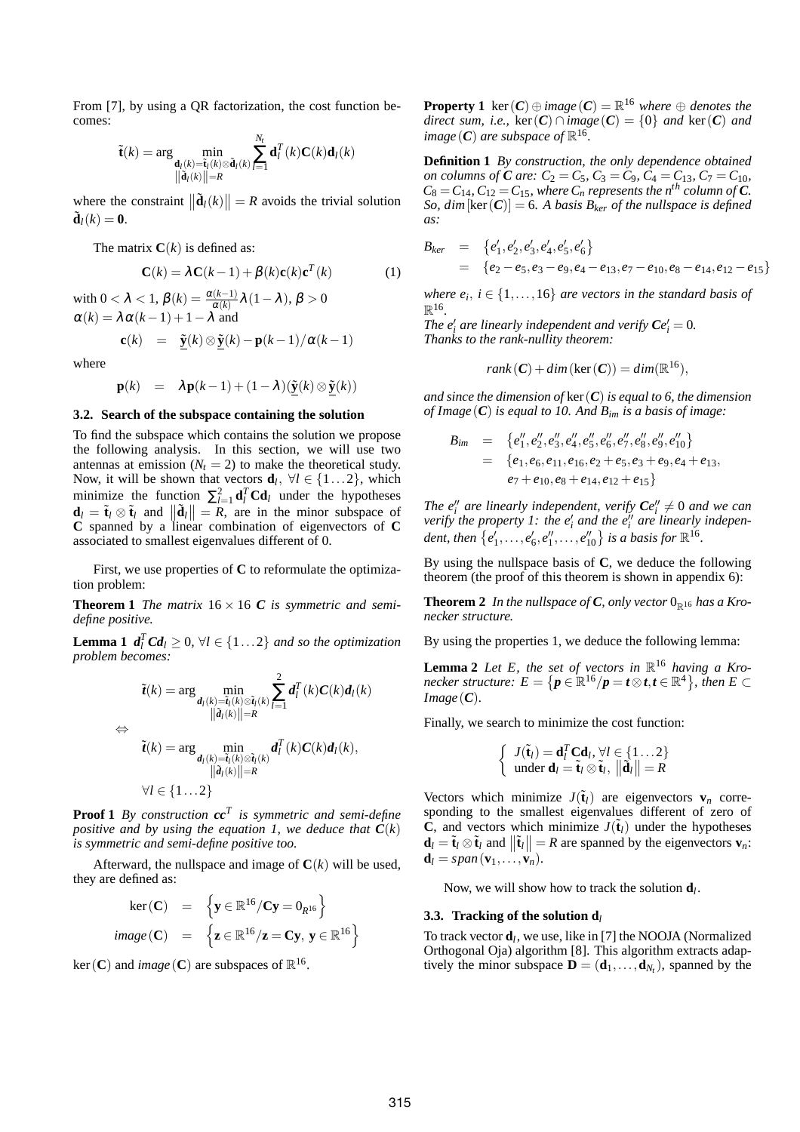From [7], by using a QR factorization, the cost function becomes:

$$
\tilde{\mathbf{t}}(k) = \arg \min_{\substack{\mathbf{d}_l(k) = \tilde{\mathbf{t}}_l(k) \otimes \tilde{\mathbf{d}}_l(k) \\ ||\tilde{\mathbf{d}}_l(k)|| = R}} \sum_{l=1}^{N_t} \mathbf{d}_l^T(k) \mathbf{C}(k) \mathbf{d}_l(k)
$$

where the constraint  $\|\tilde{\mathbf{d}}_l(k)\| = R$  avoids the trivial solution  $\tilde{\mathbf{d}}_l(k) = \mathbf{0}.$ 

The matrix  $C(k)$  is defined as:

$$
\mathbf{C}(k) = \lambda \mathbf{C}(k-1) + \beta(k)\mathbf{c}(k)\mathbf{c}^{T}(k)
$$
 (1)

with  $0<\lambda< 1,$   $\beta(k)=\frac{\alpha(k-1)}{\alpha(k)}\lambda$   $(1-\lambda),$   $\beta>0$  $\alpha(k) = \lambda \alpha(k-1) + 1 - \lambda$  and

$$
\mathbf{c}(k) = \tilde{\mathbf{y}}(k) \otimes \tilde{\mathbf{y}}(k) - \mathbf{p}(k-1)/\alpha(k-1)
$$

where

⇔

$$
\mathbf{p}(k) = \lambda \mathbf{p}(k-1) + (1 - \lambda)(\tilde{\mathbf{y}}(k) \otimes \tilde{\mathbf{y}}(k))
$$

#### **3.2. Search of the subspace containing the solution**

To find the subspace which contains the solution we propose the following analysis. In this section, we will use two antennas at emission  $(N<sub>t</sub> = 2)$  to make the theoretical study. Now, it will be shown that vectors  $\mathbf{d}_l$ ,  $\forall l \in \{1...2\}$ , which minimize the function  $\sum_{l=1}^{2} \mathbf{d}_l^T \mathbf{C} \mathbf{d}_l$  under the hypotheses  $\mathbf{d}_l = \tilde{\mathbf{t}}_l \otimes \tilde{\mathbf{t}}_l$  and  $\|\tilde{\mathbf{d}}_l\| = R$ , are in the minor subspace of **C** spanned by a linear combination of eigenvectors of **C** associated to smallest eigenvalues different of 0.

First, we use properties of **C** to reformulate the optimization problem:

**Theorem 1** *The matrix*  $16 \times 16$  *C is symmetric and semidefine positive.*

**Lemma 1**  $d_l^T C d_l \geq 0$ ,  $\forall l \in \{1...2\}$  and so the optimization *problem becomes:*

$$
\tilde{t}(k) = \arg \min_{\substack{d_l(k) = \tilde{t}_l(k) \otimes \tilde{t}_l(k) \\ ||\tilde{d}_l(k)|| = R}} \sum_{l=1}^2 d_l^T(k) C(k) d_l(k)
$$
\n
$$
\tilde{t}(k) = \arg \min_{\substack{d_l(k) = \tilde{t}_l(k) \otimes \tilde{t}_l(k) \\ ||\tilde{d}_l(k)|| = R}} d_l^T(k) C(k) d_l(k),
$$
\n
$$
\forall l \in \{1...2\}
$$

**Proof 1** *By construction cc<sup>T</sup> is symmetric and semi-define positive and by using the equation 1, we deduce that*  $\dot{C}(k)$ *is symmetric and semi-define positive too.*

Afterward, the nullspace and image of  $C(k)$  will be used, they are defined as:

$$
\begin{array}{rcl}\n\ker\left(\mathbf{C}\right) & = & \left\{\mathbf{y} \in \mathbb{R}^{16} / \mathbf{C} \mathbf{y} = \mathbf{0}_{R^{16}}\right\} \\
\text{image}\left(\mathbf{C}\right) & = & \left\{\mathbf{z} \in \mathbb{R}^{16} / \mathbf{z} = \mathbf{C} \mathbf{y}, \, \mathbf{y} \in \mathbb{R}^{16}\right\}\n\end{array}
$$

 $\ker(C)$  and *image* (C) are subspaces of  $\mathbb{R}^{16}$ .

**Property 1** ker( $C$ )  $\oplus$  *image*( $C$ ) =  $\mathbb{R}^{16}$  *where*  $\oplus$  *denotes the direct sum, i.e.,*  $\text{ker}(C) \cap \text{image}(C) = \{0\}$  *and*  $\text{ker}(C)$  *and image* (*C*) are subspace of  $\mathbb{R}^{16}$ .

**Definition 1** *By construction, the only dependence obtained on columns of C are:*  $C_2 = C_5$ ,  $C_3 = C_9$ ,  $C_4 = C_{13}$ ,  $C_7 = C_{10}$ ,  $C_8 = C_{14}$ ,  $C_{12} = C_{15}$ , where  $C_n$  represents the n<sup>th</sup> column of  $\overline{C}$ . *So, dim*  $[\ker(C)] = 6$ *. A basis B*<sub>*ker</sub> of the nullspace is defined*</sub> *as:*

$$
B_{ker} = \{e'_1, e'_2, e'_3, e'_4, e'_5, e'_6\}
$$
  
= 
$$
\{e_2 - e_5, e_3 - e_9, e_4 - e_{13}, e_7 - e_{10}, e_8 - e_{14}, e_{12} - e_{15}\}
$$

*where*  $e_i$ ,  $i \in \{1, \ldots, 16\}$  *are vectors in the standard basis of* R 16 *.*

*The*  $e'_i$  *are linearly independent and verify*  $Ce'_i = 0$ *. Thanks to the rank-nullity theorem:*

$$
rank(\mathbf{C}) + dim(ker(\mathbf{C})) = dim(\mathbb{R}^{16}),
$$

*and since the dimension of* ker(*C*) *is equal to 6, the dimension of Image*(*C*) *is equal to 10. And Bim is a basis of image:*

$$
B_{im} = \{e''_1, e''_2, e''_3, e''_4, e''_5, e''_6, e''_7, e''_8, e''_9, e''_{10}\}
$$
  
= 
$$
\{e_1, e_6, e_{11}, e_{16}, e_2 + e_5, e_3 + e_9, e_4 + e_{13}, e_7 + e_{10}, e_8 + e_{14}, e_{12} + e_{15}\}
$$

*The e''* are linearly independent, verify  $Ce''_i \neq 0$  and we can *verify the property 1: the*  $e'_i$  *and the*  $e''_i$  *are linearly independent, then*  $\{e'_1, \ldots, e'_6, e''_1, \ldots, e''_{10}\}$  *is a basis for*  $\mathbb{R}^{16}$ *.* 

By using the nullspace basis of **C**, we deduce the following theorem (the proof of this theorem is shown in appendix 6):

**Theorem 2** In the nullspace of C, only vector  $0_{\mathbb{R}^{16}}$  has a Kro*necker structure.*

By using the properties 1, we deduce the following lemma:

**Lemma 2** Let E, the set of vectors in  $\mathbb{R}^{16}$  having a Kro*necker structure:*  $E = \{p \in \mathbb{R}^{16}/p = t \otimes t, t \in \mathbb{R}^4\}$ , then  $E \subset$  $Image(C)$ .

Finally, we search to minimize the cost function:

$$
\begin{cases} J(\tilde{\mathbf{t}}_l) = \mathbf{d}_l^T \mathbf{C} \mathbf{d}_l, \forall l \in \{1...2\} \\ \text{under } \mathbf{d}_l = \tilde{\mathbf{t}}_l \otimes \tilde{\mathbf{t}}_l, ||\tilde{\mathbf{d}}_l|| = R \end{cases}
$$

Vectors which minimize  $J(\tilde{t}_l)$  are eigenvectors  $v_n$  corresponding to the smallest eigenvalues different of zero of **C**, and vectors which minimize  $J(\tilde{t}_l)$  under the hypotheses  $\mathbf{d}_l = \tilde{\mathbf{t}}_l \otimes \tilde{\mathbf{t}}_l$  and  $\|\tilde{\mathbf{t}}_l\| = R$  are spanned by the eigenvectors  $\mathbf{v}_n$ :  $\mathbf{d}_l = span(\mathbf{v}_1, \ldots, \mathbf{v}_n).$ 

Now, we will show how to track the solution **d***<sup>l</sup>* .

#### **3.3. Tracking of the solution d***<sup>l</sup>*

To track vector **d***<sup>l</sup>* , we use, like in [7] the NOOJA (Normalized Orthogonal Oja) algorithm [8]. This algorithm extracts adaptively the minor subspace  $\mathbf{D} = (\mathbf{d}_1, \dots, \mathbf{d}_{N_t})$ , spanned by the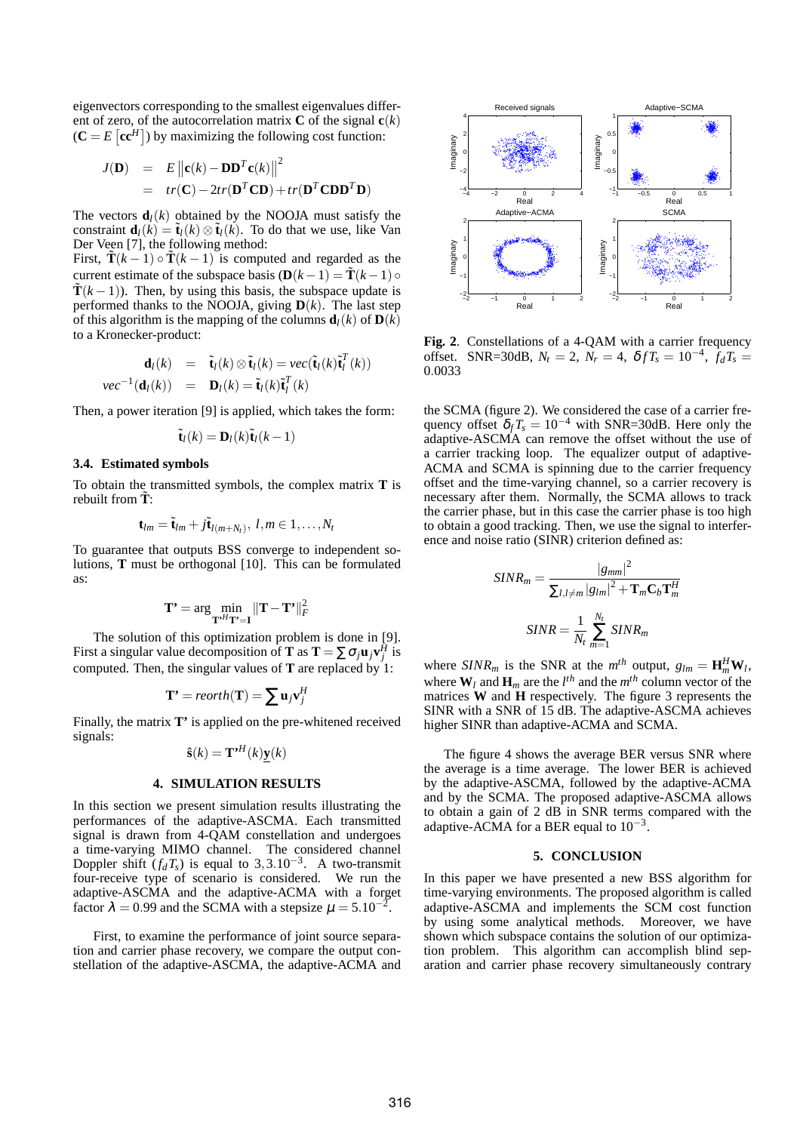eigenvectors corresponding to the smallest eigenvalues different of zero, of the autocorrelation matrix **C** of the signal  $c(k)$  $(C = E\left[\mathbf{cc}^H\right]$ ) by maximizing the following cost function:

$$
J(\mathbf{D}) = E ||\mathbf{c}(k) - \mathbf{D}\mathbf{D}^T \mathbf{c}(k)||^2
$$
  
=  $tr(\mathbf{C}) - 2tr(\mathbf{D}^T \mathbf{C}\mathbf{D}) + tr(\mathbf{D}^T \mathbf{C}\mathbf{D}\mathbf{D}^T \mathbf{D})$ 

The vectors  $\mathbf{d}_l(k)$  obtained by the NOOJA must satisfy the constraint  $\mathbf{d}_l(k) = \tilde{\mathbf{t}}_l(k) \otimes \tilde{\mathbf{t}}_l(k)$ . To do that we use, like Van Der Veen [7], the following method:

First,  $\tilde{\mathbf{T}}(k-1) \circ \tilde{\mathbf{T}}(k-1)$  is computed and regarded as the current estimate of the subspace basis ( $\mathbf{D}(k-1) = \mathbf{\tilde{T}}(k-1) \circ$  $\tilde{\mathbf{T}}(k-1)$ ). Then, by using this basis, the subspace update is performed thanks to the NOOJA, giving  $\mathbf{D}(k)$ . The last step of this algorithm is the mapping of the columns  $\mathbf{d}_l(k)$  of  $\mathbf{D}(k)$ to a Kronecker-product:

$$
\mathbf{d}_l(k) = \tilde{\mathbf{t}}_l(k) \otimes \tilde{\mathbf{t}}_l(k) = vec(\tilde{\mathbf{t}}_l(k)\tilde{\mathbf{t}}_l^T(k))
$$
  
\n
$$
vec^{-1}(\mathbf{d}_l(k)) = \mathbf{D}_l(k) = \tilde{\mathbf{t}}_l(k)\tilde{\mathbf{t}}_l^T(k)
$$

Then, a power iteration [9] is applied, which takes the form:

$$
\tilde{\mathbf{t}}_l(k) = \mathbf{D}_l(k)\tilde{\mathbf{t}}_l(k-1)
$$

#### **3.4. Estimated symbols**

To obtain the transmitted symbols, the complex matrix **T** is rebuilt from  $\tilde{\mathbf{T}}$ :

$$
\mathbf{t}_{lm} = \tilde{\mathbf{t}}_{lm} + j\tilde{\mathbf{t}}_{l(m+N_l)}, l, m \in 1, \ldots, N_t
$$

To guarantee that outputs BSS converge to independent solutions, **T** must be orthogonal [10]. This can be formulated as:

$$
\mathbf{T'} = \arg\min_{\mathbf{T'}^H\mathbf{T'} = \mathbf{I}} \|\mathbf{T} - \mathbf{T'}\|_F^2
$$

The solution of this optimization problem is done in [9]. First a singular value decomposition of **T** as  $\mathbf{T} = \sum \sigma_j \mathbf{u}_j \mathbf{v}_j^H$  is computed. Then, the singular values of **T** are replaced by 1:

$$
\mathbf{T'} = \text{reorth}(\mathbf{T}) = \sum \mathbf{u}_j \mathbf{v}_j^H
$$

Finally, the matrix **T'** is applied on the pre-whitened received signals:

$$
\hat{\mathbf{s}}(k) = \mathbf{T}^{\star H}(k)\mathbf{y}(k)
$$

#### **4. SIMULATION RESULTS**

In this section we present simulation results illustrating the performances of the adaptive-ASCMA. Each transmitted signal is drawn from 4-QAM constellation and undergoes a time-varying MIMO channel. The considered channel Doppler shift  $(f_dT_s)$  is equal to 3,3.10<sup>-3</sup>. A two-transmit four-receive type of scenario is considered. We run the adaptive-ASCMA and the adaptive-ACMA with a forget factor  $\lambda = 0.99$  and the SCMA with a stepsize  $\mu = 5.10^{-2}$ .

First, to examine the performance of joint source separation and carrier phase recovery, we compare the output constellation of the adaptive-ASCMA, the adaptive-ACMA and



**Fig. 2**. Constellations of a 4-QAM with a carrier frequency offset. SNR=30dB,  $N_t = 2$ ,  $N_r = 4$ ,  $\delta f T_s = 10^{-4}$ ,  $f_d T_s =$ 0.0033

the SCMA (figure 2). We considered the case of a carrier frequency offset  $\delta_f T_s = 10^{-4}$  with SNR=30dB. Here only the adaptive-ASCMA can remove the offset without the use of a carrier tracking loop. The equalizer output of adaptive-ACMA and SCMA is spinning due to the carrier frequency offset and the time-varying channel, so a carrier recovery is necessary after them. Normally, the SCMA allows to track the carrier phase, but in this case the carrier phase is too high to obtain a good tracking. Then, we use the signal to interference and noise ratio (SINR) criterion defined as:

$$
SINR_m = \frac{|g_{mm}|^2}{\sum_{l,l \neq m} |g_{lm}|^2 + \mathbf{T}_m \mathbf{C}_b \mathbf{T}_m^H}
$$

$$
SINR = \frac{1}{N_t} \sum_{m=1}^{N_t} SINR_m
$$

where  $SINR_m$  is the SNR at the  $m^{th}$  output,  $g_{lm} = \mathbf{H}_m^H \mathbf{W}_l$ , where  $W_l$  and  $H_m$  are the  $l^{th}$  and the  $m^{th}$  column vector of the matrices **W** and **H** respectively. The figure 3 represents the SINR with a SNR of 15 dB. The adaptive-ASCMA achieves higher SINR than adaptive-ACMA and SCMA.

The figure 4 shows the average BER versus SNR where the average is a time average. The lower BER is achieved by the adaptive-ASCMA, followed by the adaptive-ACMA and by the SCMA. The proposed adaptive-ASCMA allows to obtain a gain of 2 dB in SNR terms compared with the adaptive-ACMA for a BER equal to  $10^{-3}$ .

#### **5. CONCLUSION**

In this paper we have presented a new BSS algorithm for time-varying environments. The proposed algorithm is called adaptive-ASCMA and implements the SCM cost function by using some analytical methods. Moreover, we have shown which subspace contains the solution of our optimization problem. This algorithm can accomplish blind separation and carrier phase recovery simultaneously contrary